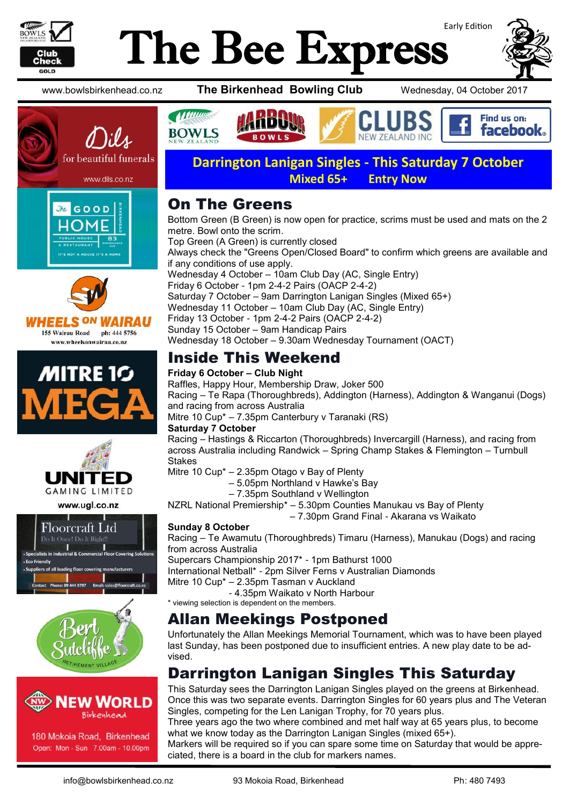

# Early Edition The Bee Express











www.ugl.co.nz







180 Mokoia Road, Birkenhead Open: Mon - Sun 7.00am - 10.00pm

www.bowlsbirkenhead.co.nz **The Birkenhead Bowling Club** Wednesday, 04 October 2017



**Darrington Lanigan Singles - This Saturday 7 October Mixed 65+ Entry Now**

#### On The Greens

Bottom Green (B Green) is now open for practice, scrims must be used and mats on the 2 metre. Bowl onto the scrim. Top Green (A Green) is currently closed Always check the "Greens Open/Closed Board" to confirm which greens are available and if any conditions of use apply. Wednesday 4 October – 10am Club Day (AC, Single Entry) Friday 6 October - 1pm 2-4-2 Pairs (OACP 2-4-2) Saturday 7 October – 9am Darrington Lanigan Singles (Mixed 65+) Wednesday 11 October – 10am Club Day (AC, Single Entry) Friday 13 October - 1pm 2-4-2 Pairs (OACP 2-4-2) Sunday 15 October – 9am Handicap Pairs Wednesday 18 October – 9.30am Wednesday Tournament (OACT)

# Inside This Weekend

#### **Friday 6 October – Club Night**

Raffles, Happy Hour, Membership Draw, Joker 500 Racing – Te Rapa (Thoroughbreds), Addington (Harness), Addington & Wanganui (Dogs) and racing from across Australia Mitre 10 Cup\* – 7.35pm Canterbury v Taranaki (RS) **Saturday 7 October** 

Racing – Hastings & Riccarton (Thoroughbreds) Invercargill (Harness), and racing from across Australia including Randwick – Spring Champ Stakes & Flemington – Turnbull Stakes

Mitre 10 Cup\* – 2.35pm Otago v Bay of Plenty

– 5.05pm Northland v Hawke's Bay

– 7.35pm Southland v Wellington

NZRL National Premiership\* – 5.30pm Counties Manukau vs Bay of Plenty

– 7.30pm Grand Final - Akarana vs Waikato

#### **Sunday 8 October**

Racing – Te Awamutu (Thoroughbreds) Timaru (Harness), Manukau (Dogs) and racing from across Australia

Supercars Championship 2017\* - 1pm Bathurst 1000

International Netball\* - 2pm Silver Ferns v Australian Diamonds

Mitre 10 Cup\* – 2.35pm Tasman v Auckland

- 4.35pm Waikato v North Harbour

\* viewing selection is dependent on the members.

#### Allan Meekings Postponed

Unfortunately the Allan Meekings Memorial Tournament, which was to have been played last Sunday, has been postponed due to insufficient entries. A new play date to be advised.

# Darrington Lanigan Singles This Saturday

This Saturday sees the Darrington Lanigan Singles played on the greens at Birkenhead. Once this was two separate events. Darrington Singles for 60 years plus and The Veteran Singles, competing for the Len Lanigan Trophy, for 70 years plus.

Three years ago the two where combined and met half way at 65 years plus, to become what we know today as the Darrington Lanigan Singles (mixed 65+).

Markers will be required so if you can spare some time on Saturday that would be appreciated, there is a board in the club for markers names.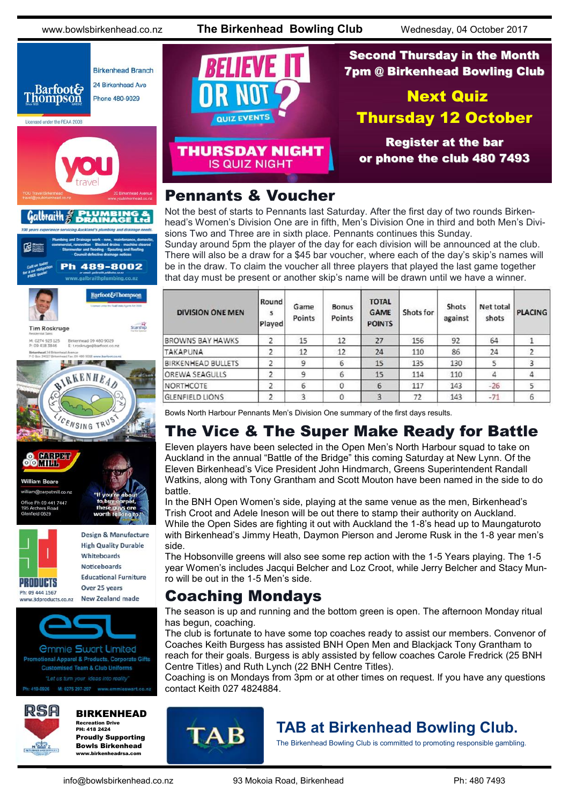www.bowlsbirkenhead.co.nz **The Birkenhead Bowling Club** Wednesday, 04 October 2017



CENSING TRUS

CONTRACT **OOMIH William Beare** n@carpetmill.co.nz ffice Ph 09 441 7447 Archers Ro<br>
nfield 0629



#### Pennants & Voucher

Not the best of starts to Pennants last Saturday. After the first day of two rounds Birkenhead's Women's Division One are in fifth, Men's Division One in third and both Men's Divisions Two and Three are in sixth place. Pennants continues this Sunday. Sunday around 5pm the player of the day for each division will be announced at the club. There will also be a draw for a \$45 bar voucher, where each of the day's skip's names will be in the draw. To claim the voucher all three players that played the last game together

that day must be present or another skip's name will be drawn until we have a winner.

**TOTAL** Round Game **Bonus** Shots Net total **DIVISION ONE MEN GAME** Shots for **PLACING**  $\mathbf{s}$ against Points Points shots Played **POINTS BROWNS BAY HAWKS**  $\overline{c}$  $27$ 156 92 64 15  $12$  $\mathbf{1}$ **TAKAPUNA**  $\overline{2}$  $12$  $12$  $24$ 110 86  $24$  $\overline{2}$ **BIRKENHEAD BULLETS**  $\overline{2}$  $\overline{9}$ 6  $15$ 135 5  $\overline{3}$ 130  $\overline{\phantom{a}}$  $\ddot{9}$ OREWA SEAGULLS 6  $15$  $\Delta$  $\Delta$ 114 110  $-26$  $\overline{c}$ 0 NORTHCOTE 6 6 117 143 5 **GLENFIELD LIONS**  $\overline{2}$  $\overline{3}$  $\circ$  $\overline{3}$  $72$ 143  $-71$ 6

Bowls North Harbour Pennants Men's Division One summary of the first days results.

# The Vice & The Super Make Ready for Battle

Eleven players have been selected in the Open Men's North Harbour squad to take on Auckland in the annual "Battle of the Bridge" this coming Saturday at New Lynn. Of the Eleven Birkenhead's Vice President John Hindmarch, Greens Superintendent Randall Watkins, along with Tony Grantham and Scott Mouton have been named in the side to do battle.

In the BNH Open Women's side, playing at the same venue as the men, Birkenhead's Trish Croot and Adele Ineson will be out there to stamp their authority on Auckland. While the Open Sides are fighting it out with Auckland the 1-8's head up to Maungaturoto with Birkenhead's Jimmy Heath, Daymon Pierson and Jerome Rusk in the 1-8 year men's side.

The Hobsonville greens will also see some rep action with the 1-5 Years playing. The 1-5 year Women's includes Jacqui Belcher and Loz Croot, while Jerry Belcher and Stacy Munro will be out in the 1-5 Men's side.

### Coaching Mondays

The season is up and running and the bottom green is open. The afternoon Monday ritual has begun, coaching.

The club is fortunate to have some top coaches ready to assist our members. Convenor of Coaches Keith Burgess has assisted BNH Open Men and Blackjack Tony Grantham to reach for their goals. Burgess is ably assisted by fellow coaches Carole Fredrick (25 BNH Centre Titles) and Ruth Lynch (22 BNH Centre Titles).

Coaching is on Mondays from 3pm or at other times on request. If you have any questions contact Keith 027 4824884.



**PRODUCTS** 

Ph: 09 444 1567

www.3dproducts.co.nz

#### BIRKENHEAD

Design & Manufacture **High Quality Durable** Whiteboards **Noticeboards Educational Furniture** 

Over 25 years

*<u>Ommie Swart Limited</u>* otional Apparel & Products, Corporate Gifts **Customised Team & Club Uniforms** 

**New Zealand made** 

Recreation Drive PH: 418 2424 Proudly Supporting Bowls Birkenhead www.birkenheadrsa.com



#### **TAB at Birkenhead Bowling Club.**

The Birkenhead Bowling Club is committed to promoting responsible gambling.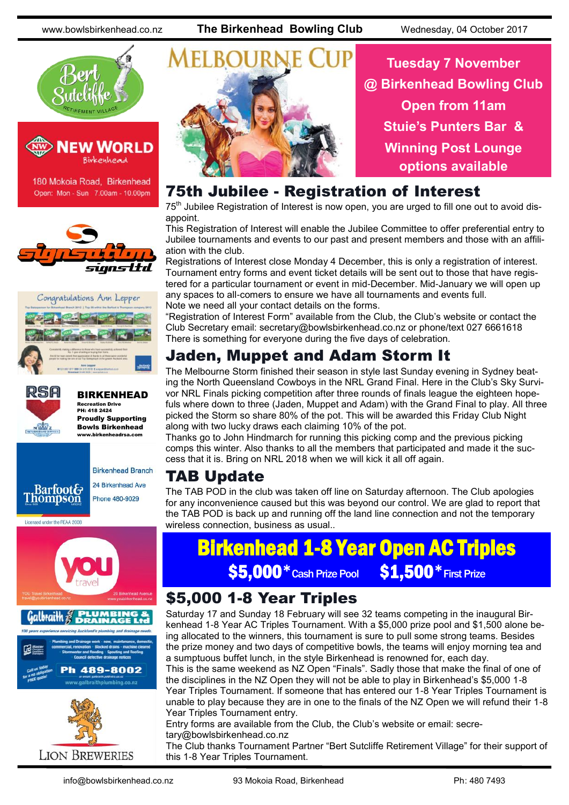www.bowlsbirkenhead.co.nz **The Birkenhead Bowling Club** Wednesday, 04 October 2017





180 Mokoia Road, Birkenhead Open: Mon - Sun 7.00am - 10.00pm







BIRKENHEAD Recreation Drive PH: 418 2424 Proudly Supporting Bowls Birkenhead

www.birkenheadrsa.com









**Tuesday 7 November @ Birkenhead Bowling Club Open from 11am Stuie's Punters Bar & Winning Post Lounge options available**

#### 75th Jubilee - Registration of Interest

75<sup>th</sup> Jubilee Registration of Interest is now open, you are urged to fill one out to avoid disappoint.

This Registration of Interest will enable the Jubilee Committee to offer preferential entry to Jubilee tournaments and events to our past and present members and those with an affiliation with the club.

Registrations of Interest close Monday 4 December, this is only a registration of interest. Tournament entry forms and event ticket details will be sent out to those that have registered for a particular tournament or event in mid-December. Mid-January we will open up any spaces to all-comers to ensure we have all tournaments and events full. Note we need all your contact details on the forms.

"Registration of Interest Form" available from the Club, the Club's website or contact the Club Secretary email: secretary@bowlsbirkenhead.co.nz or phone/text 027 6661618 There is something for everyone during the five days of celebration.

# Jaden, Muppet and Adam Storm It

The Melbourne Storm finished their season in style last Sunday evening in Sydney beating the North Queensland Cowboys in the NRL Grand Final. Here in the Club's Sky Survivor NRL Finals picking competition after three rounds of finals league the eighteen hopefuls where down to three (Jaden, Muppet and Adam) with the Grand Final to play. All three picked the Storm so share 80% of the pot. This will be awarded this Friday Club Night along with two lucky draws each claiming 10% of the pot.

Thanks go to John Hindmarch for running this picking comp and the previous picking comps this winter. Also thanks to all the members that participated and made it the success that it is. Bring on NRL 2018 when we will kick it all off again.

# TAB Update

The TAB POD in the club was taken off line on Saturday afternoon. The Club apologies for any inconvenience caused but this was beyond our control. We are glad to report that the TAB POD is back up and running off the land line connection and not the temporary wireless connection, business as usual..

# Birkenhead 1-8 Year Open AC Triples \$5,000 \* Cash Prize Pool \$1,500 \* First Prize

### \$5,000 1-8 Year Triples

Saturday 17 and Sunday 18 February will see 32 teams competing in the inaugural Birkenhead 1-8 Year AC Triples Tournament. With a \$5,000 prize pool and \$1,500 alone being allocated to the winners, this tournament is sure to pull some strong teams. Besides the prize money and two days of competitive bowls, the teams will enjoy morning tea and a sumptuous buffet lunch, in the style Birkenhead is renowned for, each day.

This is the same weekend as NZ Open "Finals". Sadly those that make the final of one of the disciplines in the NZ Open they will not be able to play in Birkenhead's \$5,000 1-8 Year Triples Tournament. If someone that has entered our 1-8 Year Triples Tournament is unable to play because they are in one to the finals of the NZ Open we will refund their 1-8 Year Triples Tournament entry.

Entry forms are available from the Club, the Club's website or email: secretary@bowlsbirkenhead.co.nz

The Club thanks Tournament Partner "Bert Sutcliffe Retirement Village" for their support of this 1-8 Year Triples Tournament.